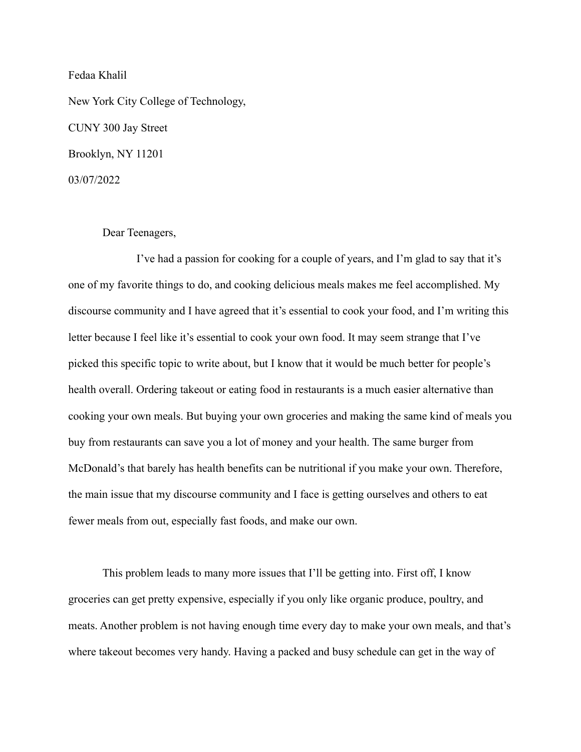Fedaa Khalil

New York City College of Technology, CUNY 300 Jay Street Brooklyn, NY 11201 03/07/2022

## Dear Teenagers,

I've had a passion for cooking for a couple of years, and I'm glad to say that it's one of my favorite things to do, and cooking delicious meals makes me feel accomplished. My discourse community and I have agreed that it's essential to cook your food, and I'm writing this letter because I feel like it's essential to cook your own food. It may seem strange that I've picked this specific topic to write about, but I know that it would be much better for people's health overall. Ordering takeout or eating food in restaurants is a much easier alternative than cooking your own meals. But buying your own groceries and making the same kind of meals you buy from restaurants can save you a lot of money and your health. The same burger from McDonald's that barely has health benefits can be nutritional if you make your own. Therefore, the main issue that my discourse community and I face is getting ourselves and others to eat fewer meals from out, especially fast foods, and make our own.

This problem leads to many more issues that I'll be getting into. First off, I know groceries can get pretty expensive, especially if you only like organic produce, poultry, and meats. Another problem is not having enough time every day to make your own meals, and that's where takeout becomes very handy. Having a packed and busy schedule can get in the way of